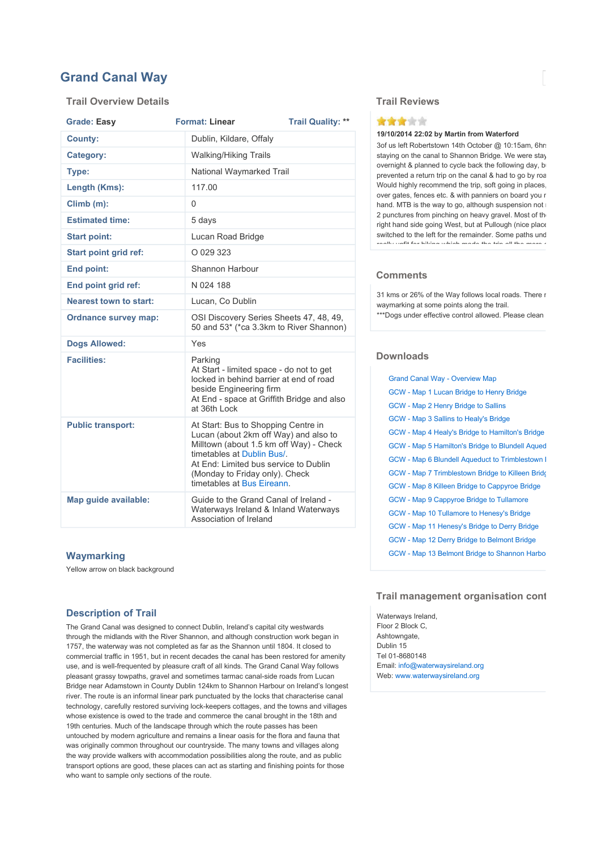# Grand Canal Way

### Trail Overview Details

| <b>Grade: Easy</b>            | <b>Format: Linear</b>                                                                                                                                                                                                                                          | <b>Trail Quality: **</b> |  |
|-------------------------------|----------------------------------------------------------------------------------------------------------------------------------------------------------------------------------------------------------------------------------------------------------------|--------------------------|--|
| <b>County:</b>                | Dublin, Kildare, Offaly                                                                                                                                                                                                                                        |                          |  |
| Category:                     | <b>Walking/Hiking Trails</b>                                                                                                                                                                                                                                   |                          |  |
| Type:                         |                                                                                                                                                                                                                                                                | National Waymarked Trail |  |
| Length (Kms):                 | 117.00                                                                                                                                                                                                                                                         |                          |  |
| Climb (m):                    | 0                                                                                                                                                                                                                                                              |                          |  |
| <b>Estimated time:</b>        | 5 days                                                                                                                                                                                                                                                         |                          |  |
| <b>Start point:</b>           | Lucan Road Bridge                                                                                                                                                                                                                                              |                          |  |
| <b>Start point grid ref:</b>  | O 029 323                                                                                                                                                                                                                                                      |                          |  |
| End point:                    | Shannon Harbour                                                                                                                                                                                                                                                |                          |  |
| End point grid ref:           | N 024 188                                                                                                                                                                                                                                                      |                          |  |
| <b>Nearest town to start:</b> | Lucan, Co Dublin                                                                                                                                                                                                                                               |                          |  |
| <b>Ordnance survey map:</b>   | OSI Discovery Series Sheets 47, 48, 49,<br>50 and 53* (*ca 3.3km to River Shannon)                                                                                                                                                                             |                          |  |
| <b>Dogs Allowed:</b>          | Yes                                                                                                                                                                                                                                                            |                          |  |
| <b>Facilities:</b>            | Parking<br>At Start - limited space - do not to get<br>locked in behind barrier at end of road<br>beside Engineering firm<br>At End - space at Griffith Bridge and also<br>at 36th Lock                                                                        |                          |  |
| <b>Public transport:</b>      | At Start: Bus to Shopping Centre in<br>Lucan (about 2km off Way) and also to<br>Milltown (about 1.5 km off Way) - Check<br>timetables at Dublin Bus/.<br>At End: Limited bus service to Dublin<br>(Monday to Friday only). Check<br>timetables at Bus Eireann. |                          |  |
| Map guide available:          | Guide to the Grand Canal of Ireland -<br>Waterways Ireland & Inland Waterways<br>Association of Ireland                                                                                                                                                        |                          |  |

#### **Waymarking**

Yellow arrow on black background

## Description of Trail

The Grand Canal was designed to connect Dublin, Ireland's capital city westwards through the midlands with the River Shannon, and although construction work began in 1757, the waterway was not completed as far as the Shannon until 1804. It closed to commercial traffic in 1951, but in recent decades the canal has been restored for amenity use, and is well-frequented by pleasure craft of all kinds. The Grand Canal Way follows pleasant grassy towpaths, gravel and sometimes tarmac canal-side roads from Lucan Bridge near Adamstown in County Dublin 124km to Shannon Harbour on Ireland's longest river. The route is an informal linear park punctuated by the locks that characterise canal technology, carefully restored surviving lock-keepers cottages, and the towns and villages whose existence is owed to the trade and commerce the canal brought in the 18th and 19th centuries. Much of the landscape through which the route passes has been untouched by modern agriculture and remains a linear oasis for the flora and fauna that was originally common throughout our countryside. The many towns and villages along the way provide walkers with accommodation possibilities along the route, and as public transport options are good, these places can act as starting and finishing points for those who want to sample only sections of the route.

#### Trail Reviews



#### 19/10/2014 22:02 by Martin from Waterford

3of us left Robertstown 14th October @ 10:15am, 6hrs staying on the canal to Shannon Bridge. We were stay overnight & planned to cycle back the following day, b prevented a return trip on the canal & had to go by road. would highly recommend the trip, soft going in places. over gates, fences etc. & with panniers on board you r hand. MTB is the way to go, although suspension not 2 punctures from pinching on heavy gravel. Most of the right hand side going West, but at Pullough (nice place switched to the left for the remainder. Some paths under repair of the repair of the repair of the repair of realization for the more characteristic material the more challenging. It is the more challenging  $\mu$ 

## **Comments**

31 kms or 26% of the Way follows local roads. There no waymarking at some points along the trail.

\*\*\*Dogs under effective control allowed. Please clean

#### **Downloads**

| <b>Grand Canal Way - Overview Map</b>                  |
|--------------------------------------------------------|
| GCW - Map 1 Lucan Bridge to Henry Bridge               |
| GCW - Map 2 Henry Bridge to Sallins                    |
| GCW - Map 3 Sallins to Healy's Bridge                  |
| GCW - Map 4 Healy's Bridge to Hamilton's Bridge        |
| GCW - Map 5 Hamilton's Bridge to Blundell Aqued        |
| <b>GCW - Map 6 Blundell Aqueduct to Trimblestown I</b> |
| GCW - Map 7 Trimblestown Bridge to Killeen Bridge      |
| GCW - Map 8 Killeen Bridge to Cappyroe Bridge          |
| GCW - Map 9 Cappyroe Bridge to Tullamore               |
| GCW - Map 10 Tullamore to Henesy's Bridge              |
| GCW - Map 11 Henesy's Bridge to Derry Bridge           |
| GCW - Map 12 Derry Bridge to Belmont Bridge            |
| GCW - Map 13 Belmont Bridge to Shannon Harbo           |
|                                                        |

## Trail management organisation cont

Waterways Ireland, Floor 2 Block C, Ashtowngate, Dublin 15 Tel 01-8680148 Email: info@waterwaysireland.org Web: www.waterwaysireland.org